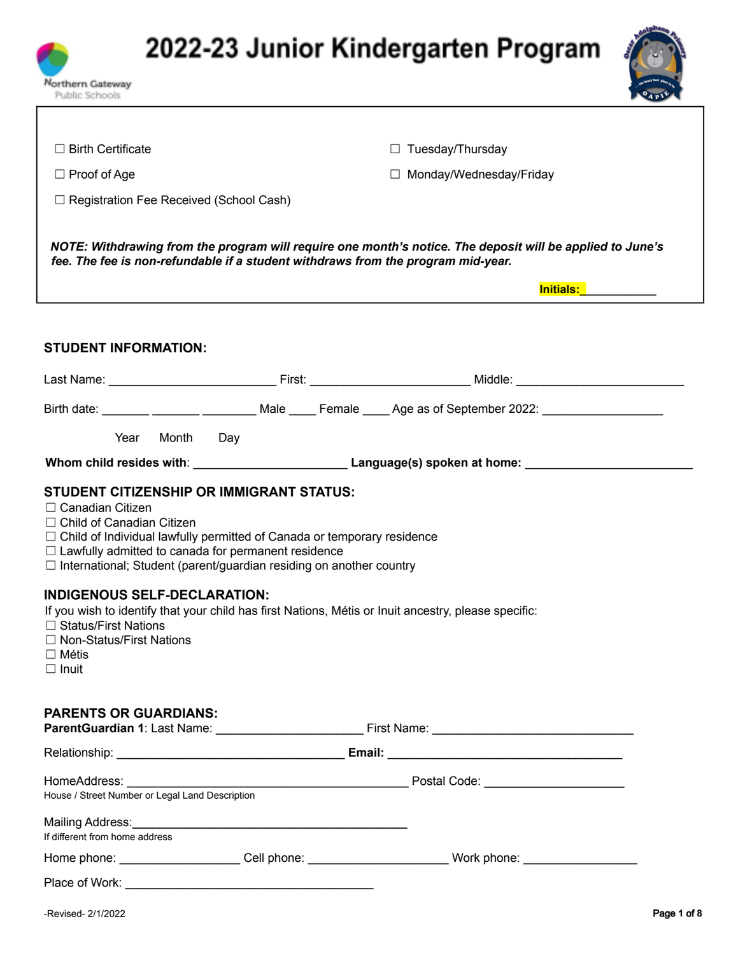



| $\Box$ Birth Certificate                                                                                                                                                                                                                                                                                                                                                                                                                                                                                                                                                       |  | $\Box$ Tuesday/Thursday                                                                                         |  |  |  |
|--------------------------------------------------------------------------------------------------------------------------------------------------------------------------------------------------------------------------------------------------------------------------------------------------------------------------------------------------------------------------------------------------------------------------------------------------------------------------------------------------------------------------------------------------------------------------------|--|-----------------------------------------------------------------------------------------------------------------|--|--|--|
| $\Box$ Proof of Age                                                                                                                                                                                                                                                                                                                                                                                                                                                                                                                                                            |  | □ Monday/Wednesday/Friday                                                                                       |  |  |  |
| $\Box$ Registration Fee Received (School Cash)                                                                                                                                                                                                                                                                                                                                                                                                                                                                                                                                 |  |                                                                                                                 |  |  |  |
| NOTE: Withdrawing from the program will require one month's notice. The deposit will be applied to June's<br>fee. The fee is non-refundable if a student withdraws from the program mid-year.<br><b>Initials:</b> The control of the control of the control of the control of the control of the control of the control of the control of the control of the control of the control of the control of the control of the control of                                                                                                                                            |  |                                                                                                                 |  |  |  |
|                                                                                                                                                                                                                                                                                                                                                                                                                                                                                                                                                                                |  |                                                                                                                 |  |  |  |
| <b>STUDENT INFORMATION:</b>                                                                                                                                                                                                                                                                                                                                                                                                                                                                                                                                                    |  |                                                                                                                 |  |  |  |
|                                                                                                                                                                                                                                                                                                                                                                                                                                                                                                                                                                                |  |                                                                                                                 |  |  |  |
|                                                                                                                                                                                                                                                                                                                                                                                                                                                                                                                                                                                |  | Birth date: _______ _______ ________ Male ____ Female ____ Age as of September 2022: _______________            |  |  |  |
| Year Month Day                                                                                                                                                                                                                                                                                                                                                                                                                                                                                                                                                                 |  |                                                                                                                 |  |  |  |
|                                                                                                                                                                                                                                                                                                                                                                                                                                                                                                                                                                                |  | Whom child resides with: Manual Museum Language(s) spoken at home: Manual Museum Museum Museum Museum Museum Mu |  |  |  |
| <b>STUDENT CITIZENSHIP OR IMMIGRANT STATUS:</b><br>□ Canadian Citizen<br>$\Box$ Child of Canadian Citizen<br>$\Box$ Child of Individual lawfully permitted of Canada or temporary residence<br>$\Box$ Lawfully admitted to canada for permanent residence<br>$\Box$ International; Student (parent/guardian residing on another country<br><b>INDIGENOUS SELF-DECLARATION:</b><br>If you wish to identify that your child has first Nations, Métis or Inuit ancestry, please specific:<br>□ Status/First Nations<br>□ Non-Status/First Nations<br>$\Box$ Métis<br>$\Box$ Inuit |  |                                                                                                                 |  |  |  |
| <b>PARENTS OR GUARDIANS:</b>                                                                                                                                                                                                                                                                                                                                                                                                                                                                                                                                                   |  |                                                                                                                 |  |  |  |
|                                                                                                                                                                                                                                                                                                                                                                                                                                                                                                                                                                                |  |                                                                                                                 |  |  |  |
|                                                                                                                                                                                                                                                                                                                                                                                                                                                                                                                                                                                |  |                                                                                                                 |  |  |  |
| If different from home address                                                                                                                                                                                                                                                                                                                                                                                                                                                                                                                                                 |  |                                                                                                                 |  |  |  |
|                                                                                                                                                                                                                                                                                                                                                                                                                                                                                                                                                                                |  | Home phone: _______________________Cell phone: ____________________________Work phone: ______________________   |  |  |  |
|                                                                                                                                                                                                                                                                                                                                                                                                                                                                                                                                                                                |  |                                                                                                                 |  |  |  |

Northern Gateway Public Schools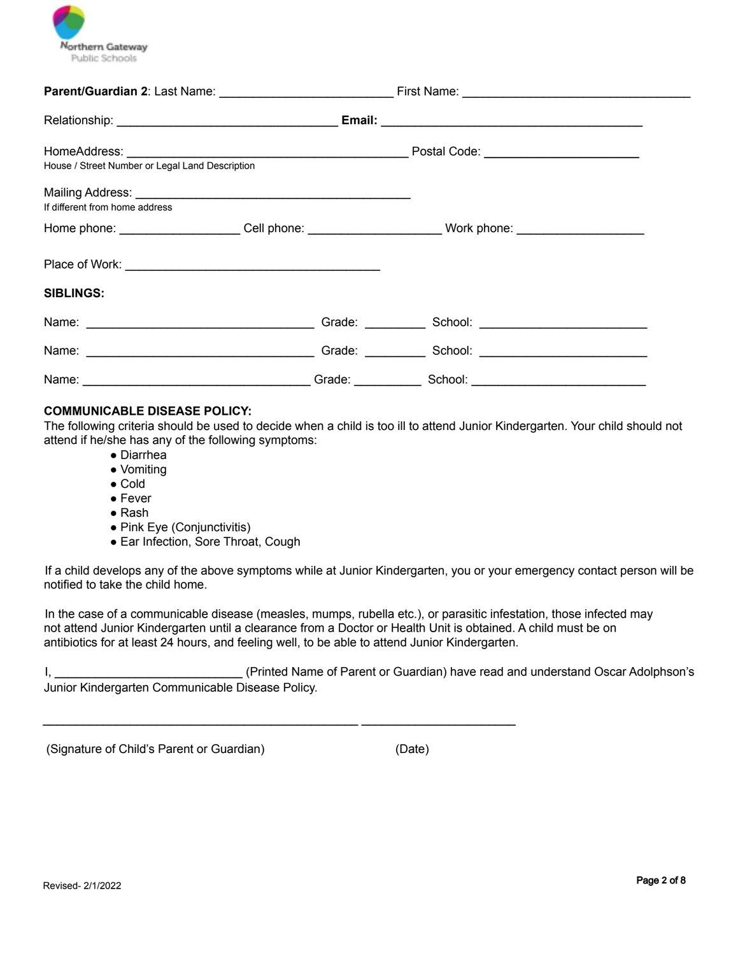

| House / Street Number or Legal Land Description                                                      |                           |  |  |
|------------------------------------------------------------------------------------------------------|---------------------------|--|--|
| If different from home address                                                                       |                           |  |  |
| Home phone: _______________________Cell phone: ______________________Work phone: ___________________ |                           |  |  |
| <b>SIBLINGS:</b>                                                                                     |                           |  |  |
|                                                                                                      |                           |  |  |
|                                                                                                      |                           |  |  |
|                                                                                                      |                           |  |  |
|                                                                                                      | Grade: Carrier Contractor |  |  |

#### **COMMUNICABLE DISEASE POLICY:**

The following criteria should be used to decide when a child is too ill to attend Junior Kindergarten. Your child should not attend if he/she has any of the following symptoms:

- Diarrhea
- Vomiting
- Cold
- Fever
- Rash
- Pink Eye (Conjunctivitis)
- Ear Infection, Sore Throat, Cough

If a child develops any of the above symptoms while at Junior Kindergarten, you or your emergency contact person will be notified to take the child home.

In the case of a communicable disease (measles, mumps, rubella etc.), or parasitic infestation, those infected may not attend Junior Kindergarten until a clearance from a Doctor or Health Unit is obtained. A child must be on antibiotics for at least 24 hours, and feeling well, to be able to attend Junior Kindergarten.

 $\mathcal{L}_\text{max} = \frac{1}{2} \sum_{i=1}^{n} \frac{1}{2} \sum_{i=1}^{n} \frac{1}{2} \sum_{i=1}^{n} \frac{1}{2} \sum_{i=1}^{n} \frac{1}{2} \sum_{i=1}^{n} \frac{1}{2} \sum_{i=1}^{n} \frac{1}{2} \sum_{i=1}^{n} \frac{1}{2} \sum_{i=1}^{n} \frac{1}{2} \sum_{i=1}^{n} \frac{1}{2} \sum_{i=1}^{n} \frac{1}{2} \sum_{i=1}^{n} \frac{1}{2} \sum_{i=1}^{n} \frac{1$ 

I, \_\_\_\_\_\_\_\_\_\_\_\_\_\_\_\_\_\_\_\_\_\_\_\_\_\_\_\_ (Printed Name of Parent or Guardian) have read and understand Oscar Adolphson's Junior Kindergarten Communicable Disease Policy.

(Signature of Child's Parent or Guardian) (Date)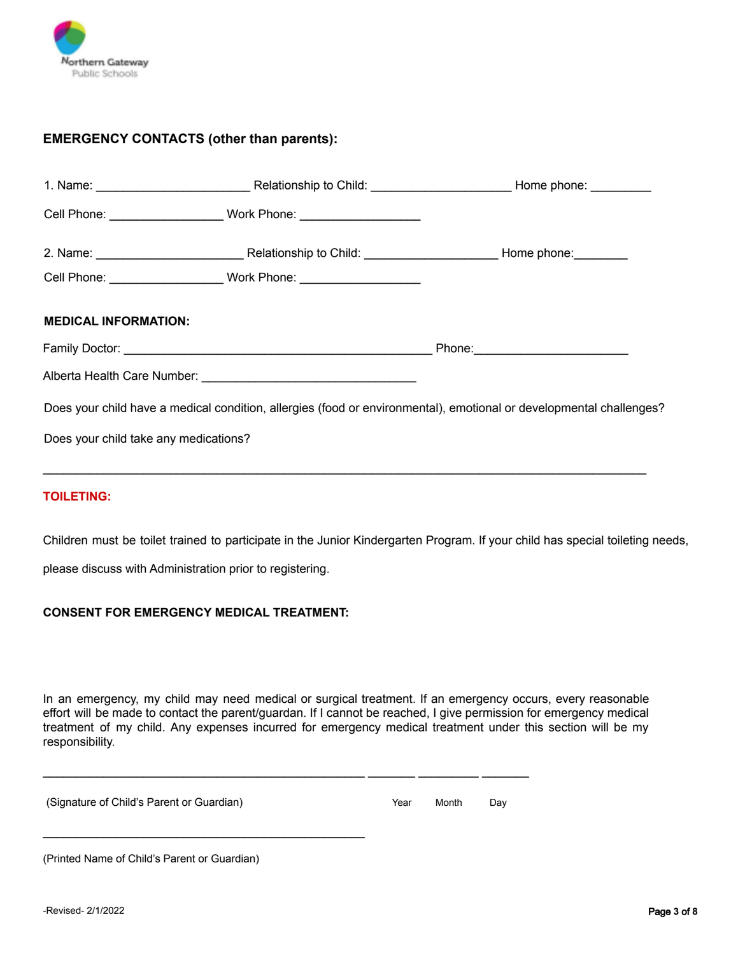

## **EMERGENCY CONTACTS (other than parents):**

|                                       | Cell Phone: __________________________Work Phone: ______________________________ |                                                                                                                     |
|---------------------------------------|----------------------------------------------------------------------------------|---------------------------------------------------------------------------------------------------------------------|
| <b>MEDICAL INFORMATION:</b>           |                                                                                  |                                                                                                                     |
|                                       |                                                                                  |                                                                                                                     |
|                                       |                                                                                  |                                                                                                                     |
|                                       |                                                                                  | Does your child have a medical condition, allergies (food or environmental), emotional or developmental challenges? |
| Does your child take any medications? |                                                                                  |                                                                                                                     |
|                                       |                                                                                  |                                                                                                                     |

### **TOILETING:**

Children must be toilet trained to participate in the Junior Kindergarten Program. If your child has special toileting needs,

please discuss with Administration prior to registering.

#### **CONSENT FOR EMERGENCY MEDICAL TREATMENT:**

 $\mathcal{L}_\text{max}$  , and the set of the set of the set of the set of the set of the set of the set of the set of the set of the set of the set of the set of the set of the set of the set of the set of the set of the set of the

In an emergency, my child may need medical or surgical treatment. If an emergency occurs, every reasonable effort will be made to contact the parent/guardan. If I cannot be reached, I give permission for emergency medical treatment of my child. Any expenses incurred for emergency medical treatment under this section will be my responsibility.

 $\mathcal{L}_\text{max} = \mathcal{L}_\text{max} = \mathcal{L}_\text{max} = \mathcal{L}_\text{max} = \mathcal{L}_\text{max} = \mathcal{L}_\text{max} = \mathcal{L}_\text{max} = \mathcal{L}_\text{max} = \mathcal{L}_\text{max} = \mathcal{L}_\text{max} = \mathcal{L}_\text{max} = \mathcal{L}_\text{max} = \mathcal{L}_\text{max} = \mathcal{L}_\text{max} = \mathcal{L}_\text{max} = \mathcal{L}_\text{max} = \mathcal{L}_\text{max} = \mathcal{L}_\text{max} = \mathcal{$ 

(Signature of Child's Parent or Guardian) Year Month Day

(Printed Name of Child's Parent or Guardian)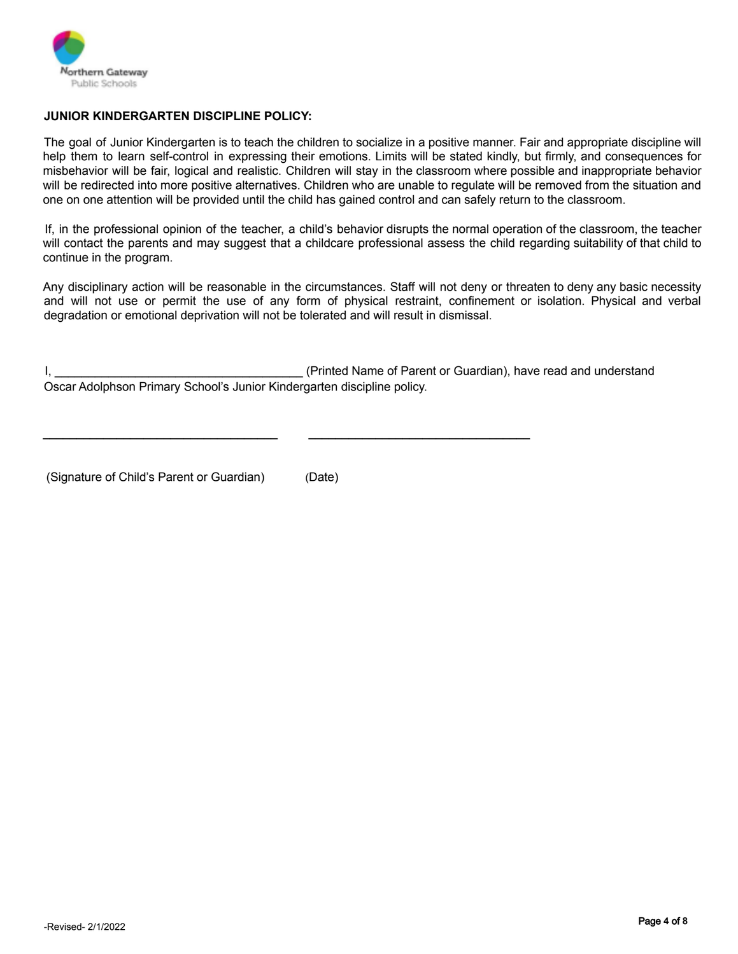

## **JUNIOR KINDERGARTEN DISCIPLINE POLICY:**

The goal of Junior Kindergarten is to teach the children to socialize in a positive manner. Fair and appropriate discipline will help them to learn self-control in expressing their emotions. Limits will be stated kindly, but firmly, and consequences for misbehavior will be fair, logical and realistic. Children will stay in the classroom where possible and inappropriate behavior will be redirected into more positive alternatives. Children who are unable to regulate will be removed from the situation and one on one attention will be provided until the child has gained control and can safely return to the classroom.

If, in the professional opinion of the teacher, a child's behavior disrupts the normal operation of the classroom, the teacher will contact the parents and may suggest that a childcare professional assess the child regarding suitability of that child to continue in the program.

Any disciplinary action will be reasonable in the circumstances. Staff will not deny or threaten to deny any basic necessity and will not use or permit the use of any form of physical restraint, confinement or isolation. Physical and verbal degradation or emotional deprivation will not be tolerated and will result in dismissal.

I, \_\_\_\_\_\_\_\_\_\_\_\_\_\_\_\_\_\_\_\_\_\_\_\_\_\_\_\_\_\_\_\_\_\_\_\_\_ (Printed Name of Parent or Guardian), have read and understand Oscar Adolphson Primary School's Junior Kindergarten discipline policy.

\_\_\_\_\_\_\_\_\_\_\_\_\_\_\_\_\_\_\_\_\_\_\_\_\_\_\_\_\_\_\_\_\_\_\_ \_\_\_\_\_\_\_\_\_\_\_\_\_\_\_\_\_\_\_\_\_\_\_\_\_\_\_\_\_\_\_\_\_

(Signature of Child's Parent or Guardian) (Date)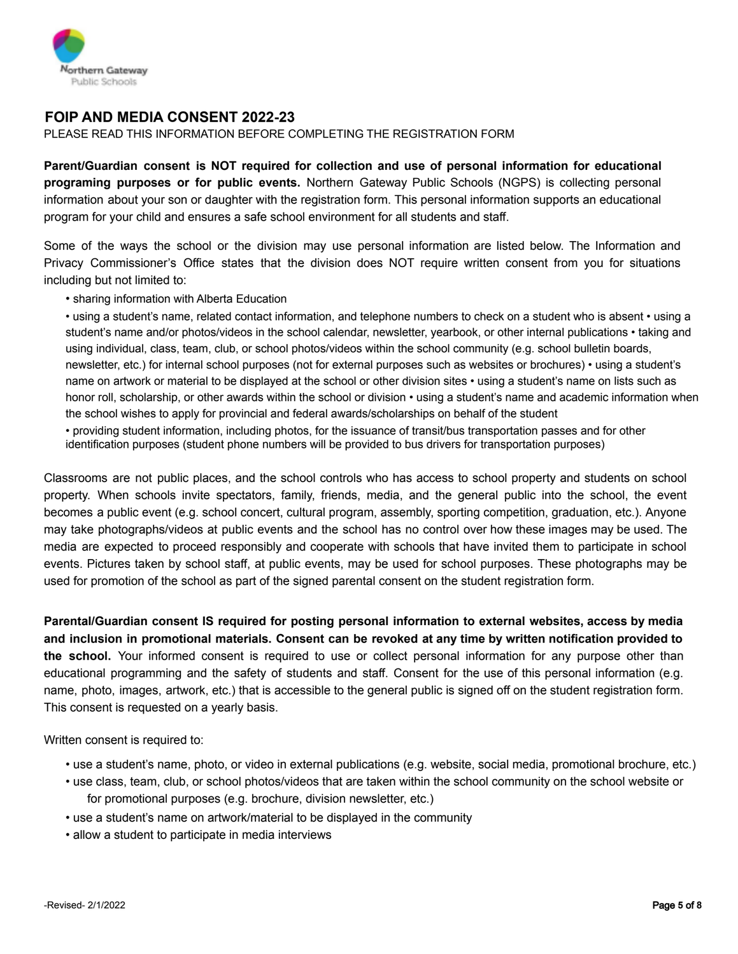

## **FOIP AND MEDIA CONSENT 2022-23**

PLEASE READ THIS INFORMATION BEFORE COMPLETING THE REGISTRATION FORM

**Parent/Guardian consent is NOT required for collection and use of personal information for educational programing purposes or for public events.** Northern Gateway Public Schools (NGPS) is collecting personal information about your son or daughter with the registration form. This personal information supports an educational program for your child and ensures a safe school environment for all students and staff.

Some of the ways the school or the division may use personal information are listed below. The Information and Privacy Commissioner's Office states that the division does NOT require written consent from you for situations including but not limited to:

#### • sharing information with Alberta Education

• using a student's name, related contact information, and telephone numbers to check on a student who is absent • using a student's name and/or photos/videos in the school calendar, newsletter, yearbook, or other internal publications • taking and using individual, class, team, club, or school photos/videos within the school community (e.g. school bulletin boards, newsletter, etc.) for internal school purposes (not for external purposes such as websites or brochures) • using a student's name on artwork or material to be displayed at the school or other division sites • using a student's name on lists such as honor roll, scholarship, or other awards within the school or division • using a student's name and academic information when the school wishes to apply for provincial and federal awards/scholarships on behalf of the student

• providing student information, including photos, for the issuance of transit/bus transportation passes and for other identification purposes (student phone numbers will be provided to bus drivers for transportation purposes)

Classrooms are not public places, and the school controls who has access to school property and students on school property. When schools invite spectators, family, friends, media, and the general public into the school, the event becomes a public event (e.g. school concert, cultural program, assembly, sporting competition, graduation, etc.). Anyone may take photographs/videos at public events and the school has no control over how these images may be used. The media are expected to proceed responsibly and cooperate with schools that have invited them to participate in school events. Pictures taken by school staff, at public events, may be used for school purposes. These photographs may be used for promotion of the school as part of the signed parental consent on the student registration form.

**Parental/Guardian consent IS required for posting personal information to external websites, access by media and inclusion in promotional materials. Consent can be revoked at any time by written notification provided to the school.** Your informed consent is required to use or collect personal information for any purpose other than educational programming and the safety of students and staff. Consent for the use of this personal information (e.g. name, photo, images, artwork, etc.) that is accessible to the general public is signed off on the student registration form. This consent is requested on a yearly basis.

Written consent is required to:

- use a student's name, photo, or video in external publications (e.g. website, social media, promotional brochure, etc.)
- use class, team, club, or school photos/videos that are taken within the school community on the school website or for promotional purposes (e.g. brochure, division newsletter, etc.)
- use a student's name on artwork/material to be displayed in the community
- allow a student to participate in media interviews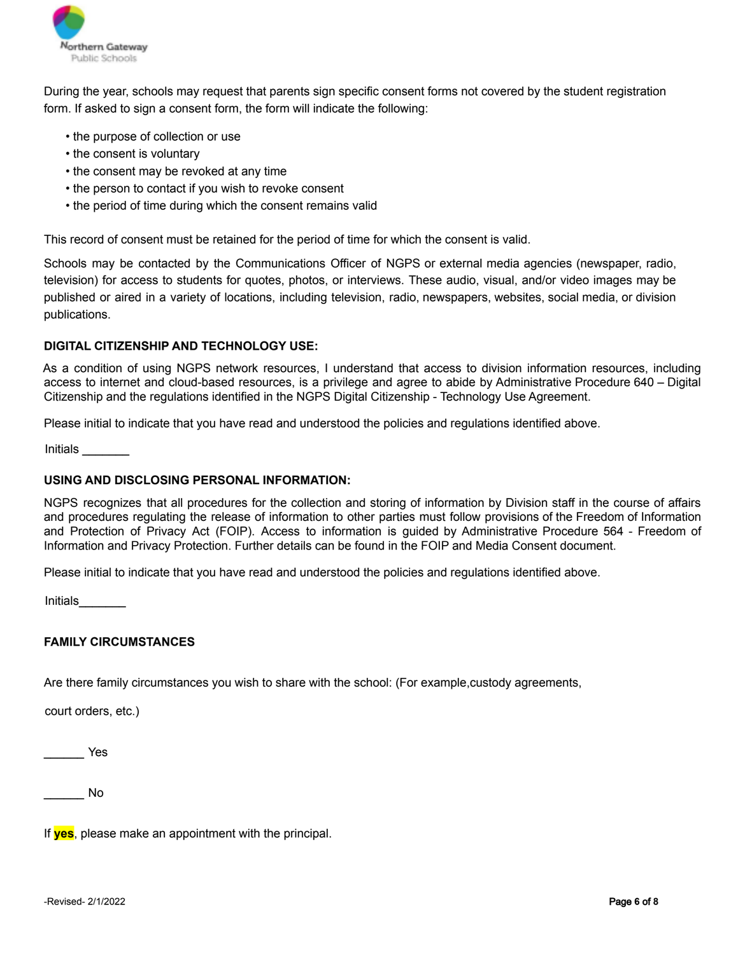

During the year, schools may request that parents sign specific consent forms not covered by the student registration form. If asked to sign a consent form, the form will indicate the following:

- the purpose of collection or use
- the consent is voluntary
- the consent may be revoked at any time
- the person to contact if you wish to revoke consent
- the period of time during which the consent remains valid

This record of consent must be retained for the period of time for which the consent is valid.

Schools may be contacted by the Communications Officer of NGPS or external media agencies (newspaper, radio, television) for access to students for quotes, photos, or interviews. These audio, visual, and/or video images may be published or aired in a variety of locations, including television, radio, newspapers, websites, social media, or division publications.

#### **DIGITAL CITIZENSHIP AND TECHNOLOGY USE:**

As a condition of using NGPS network resources, I understand that access to division information resources, including access to internet and cloud-based resources, is a privilege and agree to abide by Administrative Procedure 640 – Digital Citizenship and the regulations identified in the NGPS Digital Citizenship - Technology Use Agreement.

Please initial to indicate that you have read and understood the policies and regulations identified above.

Initials \_\_\_\_\_\_\_

### **USING AND DISCLOSING PERSONAL INFORMATION:**

NGPS recognizes that all procedures for the collection and storing of information by Division staff in the course of affairs and procedures regulating the release of information to other parties must follow provisions of the Freedom of Information and Protection of Privacy Act (FOIP). Access to information is guided by Administrative Procedure 564 - Freedom of Information and Privacy Protection. Further details can be found in the FOIP and Media Consent document.

Please initial to indicate that you have read and understood the policies and regulations identified above.

Initials\_\_\_\_\_\_\_

### **FAMILY CIRCUMSTANCES**

Are there family circumstances you wish to share with the school: (For example,custody agreements,

court orders, etc.)

\_\_\_\_\_\_ Yes

\_\_\_\_\_\_ No

If **yes**, please make an appointment with the principal.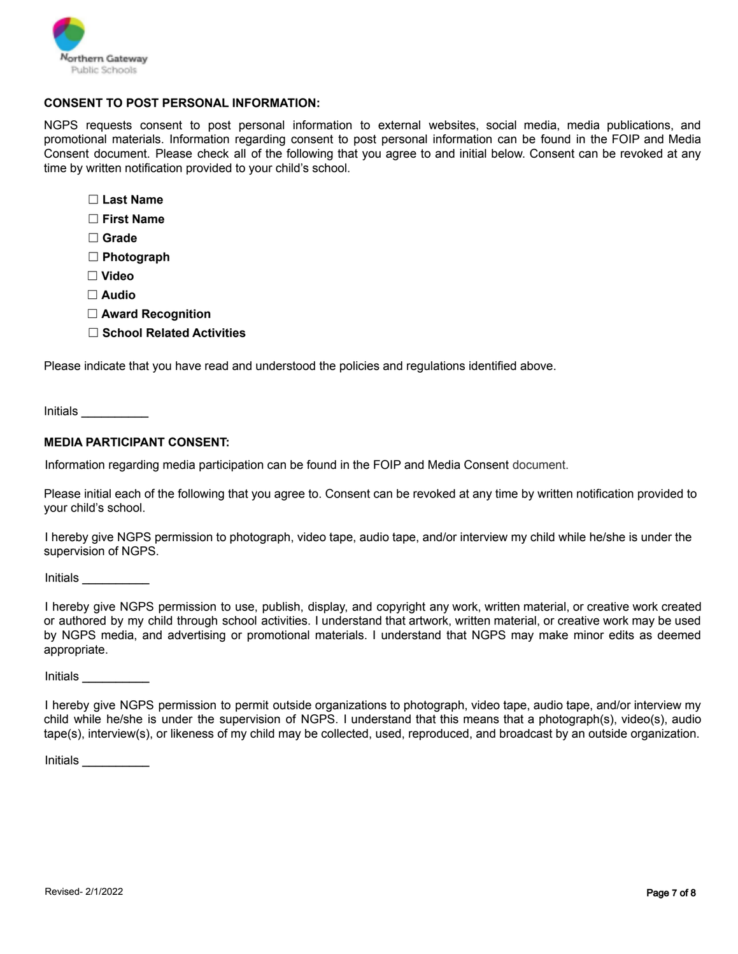

#### **CONSENT TO POST PERSONAL INFORMATION:**

NGPS requests consent to post personal information to external websites, social media, media publications, and promotional materials. Information regarding consent to post personal information can be found in the FOIP and Media Consent document. Please check all of the following that you agree to and initial below. Consent can be revoked at any time by written notification provided to your child's school.

- ☐ **Last Name**
- ☐ **First Name**
- ☐ **Grade**
- ☐ **Photograph**
- ☐ **Video**
- ☐ **Audio**
- ☐ **Award Recognition**
- ☐ **School Related Activities**

Please indicate that you have read and understood the policies and regulations identified above.

Initials \_\_\_\_\_\_\_\_\_\_

#### **MEDIA PARTICIPANT CONSENT:**

Information regarding media participation can be found in the FOIP and Media Consent document.

Please initial each of the following that you agree to. Consent can be revoked at any time by written notification provided to your child's school.

I hereby give NGPS permission to photograph, video tape, audio tape, and/or interview my child while he/she is under the supervision of NGPS.

Initials \_\_\_\_\_\_\_\_\_\_

I hereby give NGPS permission to use, publish, display, and copyright any work, written material, or creative work created or authored by my child through school activities. I understand that artwork, written material, or creative work may be used by NGPS media, and advertising or promotional materials. I understand that NGPS may make minor edits as deemed appropriate.

Initials \_\_\_\_\_\_\_\_\_\_

I hereby give NGPS permission to permit outside organizations to photograph, video tape, audio tape, and/or interview my child while he/she is under the supervision of NGPS. I understand that this means that a photograph(s), video(s), audio tape(s), interview(s), or likeness of my child may be collected, used, reproduced, and broadcast by an outside organization.

Initials \_\_\_\_\_\_\_\_\_\_